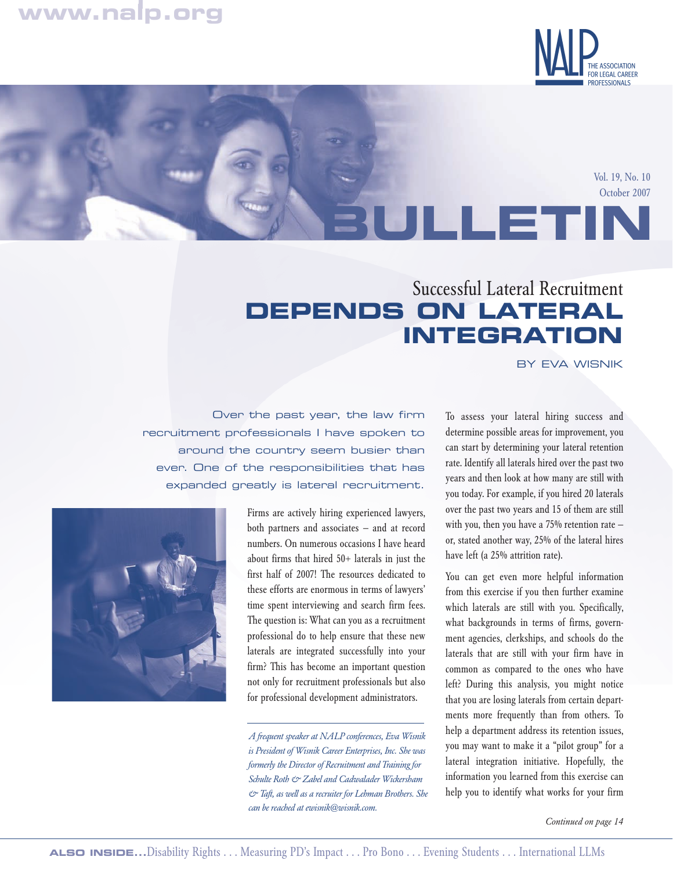# **www.nalp.org**



Vol. 19, No. 10 October 2007

# Successful Lateral Recruitment **DEPENDS ON LATERAL INTEGRATION**

BY EVA WISNIK

**BULLETIN**

Over the past year, the law firm recruitment professionals I have spoken to around the country seem busier than ever. One of the responsibilities that has expanded greatly is lateral recruitment.



Firms are actively hiring experienced lawyers, both partners and associates — and at record numbers. On numerous occasions I have heard about firms that hired 50+ laterals in just the first half of 2007! The resources dedicated to these efforts are enormous in terms of lawyers' time spent interviewing and search firm fees. The question is: What can you as a recruitment professional do to help ensure that these new laterals are integrated successfully into your firm? This has become an important question not only for recruitment professionals but also for professional development administrators.

*A frequent speaker at NALP conferences, Eva Wisnik is President of Wisnik Career Enterprises, Inc. She was formerly the Director of Recruitment and Training for Schulte Roth & Zabel and Cadwalader Wickersham & Taft, as well as a recruiter for Lehman Brothers. She can be reached at ewisnik@wisnik.com.*

To assess your lateral hiring success and determine possible areas for improvement, you can start by determining your lateral retention rate. Identify all laterals hired over the past two years and then look at how many are still with you today. For example, if you hired 20 laterals over the past two years and 15 of them are still with you, then you have a 75% retention rate or, stated another way, 25% of the lateral hires have left (a 25% attrition rate).

You can get even more helpful information from this exercise if you then further examine which laterals are still with you. Specifically, what backgrounds in terms of firms, government agencies, clerkships, and schools do the laterals that are still with your firm have in common as compared to the ones who have left? During this analysis, you might notice that you are losing laterals from certain departments more frequently than from others. To help a department address its retention issues, you may want to make it a "pilot group" for a lateral integration initiative. Hopefully, the information you learned from this exercise can help you to identify what works for your firm

*Continued on page 14*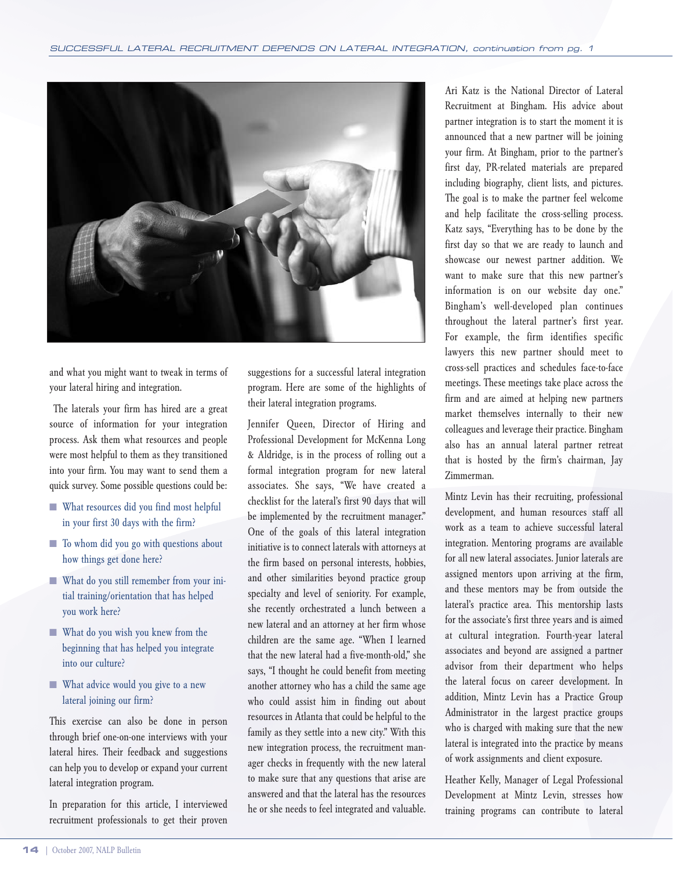

and what you might want to tweak in terms of your lateral hiring and integration.

The laterals your firm has hired are a great source of information for your integration process. Ask them what resources and people were most helpful to them as they transitioned into your firm. You may want to send them a quick survey. Some possible questions could be:

- What resources did you find most helpful in your first 30 days with the firm?
- To whom did you go with questions about how things get done here?
- What do you still remember from your initial training/orientation that has helped you work here?
- What do you wish you knew from the beginning that has helped you integrate into our culture?
- What advice would you give to a new lateral joining our firm?

This exercise can also be done in person through brief one-on-one interviews with your lateral hires. Their feedback and suggestions can help you to develop or expand your current lateral integration program.

In preparation for this article, I interviewed recruitment professionals to get their proven suggestions for a successful lateral integration program. Here are some of the highlights of their lateral integration programs.

Jennifer Queen, Director of Hiring and Professional Development for McKenna Long & Aldridge, is in the process of rolling out a formal integration program for new lateral associates. She says, "We have created a checklist for the lateral's first 90 days that will be implemented by the recruitment manager." One of the goals of this lateral integration initiative is to connect laterals with attorneys at the firm based on personal interests, hobbies, and other similarities beyond practice group specialty and level of seniority. For example, she recently orchestrated a lunch between a new lateral and an attorney at her firm whose children are the same age. "When I learned that the new lateral had a five-month-old," she says, "I thought he could benefit from meeting another attorney who has a child the same age who could assist him in finding out about resources in Atlanta that could be helpful to the family as they settle into a new city." With this new integration process, the recruitment manager checks in frequently with the new lateral to make sure that any questions that arise are answered and that the lateral has the resources he or she needs to feel integrated and valuable.

Ari Katz is the National Director of Lateral Recruitment at Bingham. His advice about partner integration is to start the moment it is announced that a new partner will be joining your firm. At Bingham, prior to the partner's first day, PR-related materials are prepared including biography, client lists, and pictures. The goal is to make the partner feel welcome and help facilitate the cross-selling process. Katz says, "Everything has to be done by the first day so that we are ready to launch and showcase our newest partner addition. We want to make sure that this new partner's information is on our website day one." Bingham's well-developed plan continues throughout the lateral partner's first year. For example, the firm identifies specific lawyers this new partner should meet to cross-sell practices and schedules face-to-face meetings. These meetings take place across the firm and are aimed at helping new partners market themselves internally to their new colleagues and leverage their practice. Bingham also has an annual lateral partner retreat that is hosted by the firm's chairman, Jay Zimmerman.

Mintz Levin has their recruiting, professional development, and human resources staff all work as a team to achieve successful lateral integration. Mentoring programs are available for all new lateral associates. Junior laterals are assigned mentors upon arriving at the firm, and these mentors may be from outside the lateral's practice area. This mentorship lasts for the associate's first three years and is aimed at cultural integration. Fourth-year lateral associates and beyond are assigned a partner advisor from their department who helps the lateral focus on career development. In addition, Mintz Levin has a Practice Group Administrator in the largest practice groups who is charged with making sure that the new lateral is integrated into the practice by means of work assignments and client exposure.

Heather Kelly, Manager of Legal Professional Development at Mintz Levin, stresses how training programs can contribute to lateral